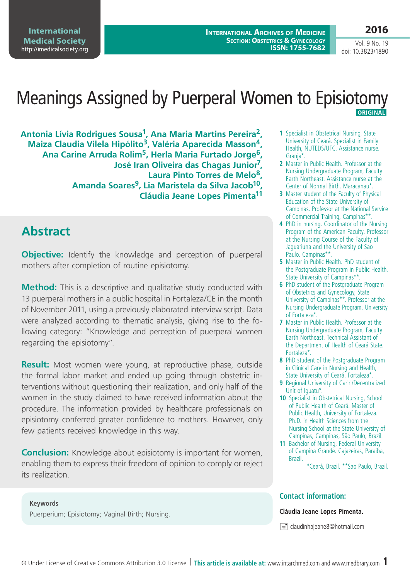**2016**

**International Archives of Medicine SECTION: OBSTETRICS & GYNECOLOGY ISSN: 1755-7682**

Vol. 9 No. 19 doi: 10.3823/1890

## Meanings Assigned by Puerperal Women to Episiotomy  **Original**

**Antonia Lívia Rodrigues Sousa1, Ana Maria Martins Pereira2, Maiza Claudia Vilela Hipólito3, Valéria Aparecida Masson4, Ana Carine Arruda Rolim5, Herla Maria Furtado Jorge6, José Iran Oliveira das Chagas Junior7, Laura Pinto Torres de Melo8, Amanda Soares9, Lia Maristela da Silva Jacob10, Cláudia Jeane Lopes Pimenta11**

### **Abstract**

**Objective:** Identify the knowledge and perception of puerperal mothers after completion of routine episiotomy.

**Method:** This is a descriptive and qualitative study conducted with 13 puerperal mothers in a public hospital in Fortaleza/CE in the month of November 2011, using a previously elaborated interview script. Data were analyzed according to thematic analysis, giving rise to the following category: "Knowledge and perception of puerperal women regarding the episiotomy".

**Result:** Most women were young, at reproductive phase, outside the formal labor market and ended up going through obstetric interventions without questioning their realization, and only half of the women in the study claimed to have received information about the procedure. The information provided by healthcare professionals on episiotomy conferred greater confidence to mothers. However, only few patients received knowledge in this way.

**Conclusion:** Knowledge about episiotomy is important for women, enabling them to express their freedom of opinion to comply or reject its realization.

**Keywords** Puerperium; Episiotomy; Vaginal Birth; Nursing.

- **1** Specialist in Obstetrical Nursing, State University of Ceará. Specialist in Family Health, NUTEDS/UFC. Assistance nurse. Grania\*.
- **2** Master in Public Health. Professor at the Nursing Undergraduate Program, Faculty Earth Northeast. Assistance nurse at the Center of Normal Birth. Maracanau\*.
- **3** Master student of the Faculty of Physical Education of the State University of Campinas. Professor at the National Service of Commercial Training, Campinas\*\*.
- **4** PhD in nursing. Coordinator of the Nursing Program of the American Faculty. Professor at the Nursing Course of the Faculty of Jaguariúna and the University of Sao Paulo. Campinas\*\*.
- **5** Master in Public Health. PhD student of the Postgraduate Program in Public Health, State University of Campinas\*\*.
- **6** PhD student of the Postgraduate Program of Obstetrics and Gynecology, State University of Campinas\*\*. Professor at the Nursing Undergraduate Program, University of Fortaleza\*.
- **7** Master in Public Health. Professor at the Nursing Undergraduate Program, Faculty Earth Northeast. Technical Assistant of the Department of Health of Ceará State. Fortaleza\*.
- **8** PhD student of the Postgraduate Program in Clinical Care in Nursing and Health, State University of Ceará. Fortaleza\*.
- **9** Regional University of Cariri/Decentralized Unit of Iguatu\*.
- **10** Specialist in Obstetrical Nursing, School of Public Health of Ceará. Master of Public Health, University of Fortaleza. Ph.D. in Health Sciences from the Nursing School at the State University of Campinas, Campinas, São Paulo, Brazil.
- **11** Bachelor of Nursing, Federal University of Campina Grande. Cajazeiras, Paraiba, Brazil.

#### **Contact information:**

#### **Cláudia Jeane Lopes Pimenta.**

 $\equiv$  claudinhajeane8@hotmail.com

<sup>\*</sup>Ceará, Brazil. \*\*Sao Paulo, Brazil.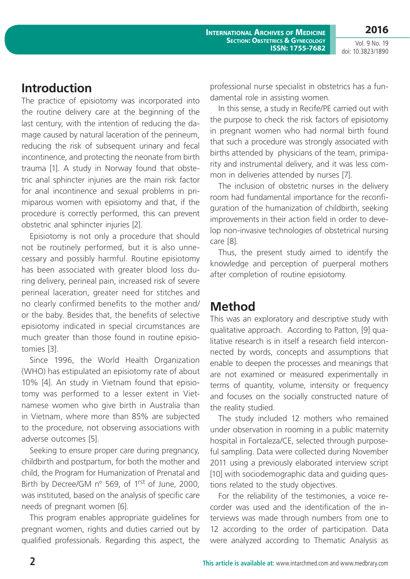**International Archives of Medicine SECTION: OBSTETRICS & GYNECOLOGY ISSN: 1755-7682**

Vol. 9 No. 19 doi: 10.3823/1890

**2016**

#### **Introduction**

The practice of episiotomy was incorporated into the routine delivery care at the beginning of the last century, with the intention of reducing the damage caused by natural laceration of the perineum, reducing the risk of subsequent urinary and fecal incontinence, and protecting the neonate from birth trauma [1]. A study in Norway found that obstetric anal sphincter injuries are the main risk factor for anal incontinence and sexual problems in primiparous women with episiotomy and that, if the procedure is correctly performed, this can prevent obstetric anal sphincter injuries [2].

Episiotomy is not only a procedure that should not be routinely performed, but it is also unnecessary and possibly harmful. Routine episiotomy has been associated with greater blood loss during delivery, perineal pain, increased risk of severe perineal laceration, greater need for stitches and no clearly confirmed benefits to the mother and/ or the baby. Besides that, the benefits of selective episiotomy indicated in special circumstances are much greater than those found in routine episiotomies [3].

Since 1996, the World Health Organization (WHO) has estipulated an episiotomy rate of about 10% [4]. An study in Vietnam found that episiotomy was performed to a lesser extent in Vietnamese women who give birth in Australia than in Vietnam, where more than 85% are subjected to the procedure, not observing associations with adverse outcomes [5].

Seeking to ensure proper care during pregnancy, childbirth and postpartum, for both the mother and child, the Program for Humanization of Prenatal and Birth by Decree/GM n° 569, of 1rst of June, 2000. was instituted, based on the analysis of specific care needs of pregnant women [6].

This program enables appropriate guidelines for pregnant women, rights and duties carried out by qualified professionals. Regarding this aspect, the professional nurse specialist in obstetrics has a fundamental role in assisting women.

In this sense, a study in Recife/PE carried out with the purpose to check the risk factors of episiotomy in pregnant women who had normal birth found that such a procedure was strongly associated with births attended by physicians of the team, primiparity and instrumental delivery, and it was less common in deliveries attended by nurses [7].

The inclusion of obstetric nurses in the delivery room had fundamental importance for the reconfiguration of the humanization of childbirth, seeking improvements in their action field in order to develop non-invasive technologies of obstetrical nursing care [8].

Thus, the present study aimed to identify the knowledge and perception of puerperal mothers after completion of routine episiotomy.

### **Method**

This was an exploratory and descriptive study with qualitative approach. According to Patton, [9] qualitative research is in itself a research field interconnected by words, concepts and assumptions that enable to deepen the processes and meanings that are not examined or measured experimentally in terms of quantity, volume, intensity or frequency and focuses on the socially constructed nature of the reality studied.

The study included 12 mothers who remained under observation in rooming in a public maternity hospital in Fortaleza/CE, selected through purposeful sampling. Data were collected during November 2011 using a previously elaborated interview script [10] with sociodemographic data and guiding questions related to the study objectives.

For the reliability of the testimonies, a voice recorder was used and the identification of the interviews was made through numbers from one to 12 according to the order of participation. Data were analyzed according to Thematic Analysis as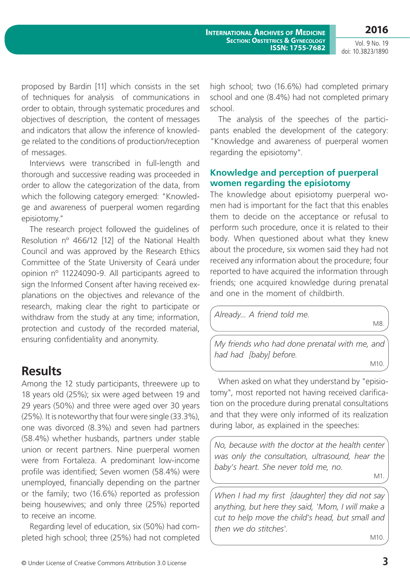**2016**

Vol. 9 No. 19 doi: 10.3823/1890

proposed by Bardin [11] which consists in the set of techniques for analysis of communications in order to obtain, through systematic procedures and objectives of description, the content of messages and indicators that allow the inference of knowledge related to the conditions of production/reception of messages.

Interviews were transcribed in full-length and thorough and successive reading was proceeded in order to allow the categorization of the data, from which the following category emerged: "Knowledge and awareness of puerperal women regarding episiotomy."

The research project followed the guidelines of Resolution nº 466/12 [12] of the National Health Council and was approved by the Research Ethics Committee of the State University of Ceará under opinion nº 11224090-9. All participants agreed to sign the Informed Consent after having received explanations on the objectives and relevance of the research, making clear the right to participate or withdraw from the study at any time; information, protection and custody of the recorded material, ensuring confidentiality and anonymity.

### **Results**

Among the 12 study participants, threewere up to 18 years old (25%); six were aged between 19 and 29 years (50%) and three were aged over 30 years (25%). It is noteworthy that four were single (33.3%), one was divorced (8.3%) and seven had partners (58.4%) whether husbands, partners under stable union or recent partners. Nine puerperal women were from Fortaleza. A predominant low-income profile was identified; Seven women (58.4%) were unemployed, financially depending on the partner or the family; two (16.6%) reported as profession being housewives; and only three (25%) reported to receive an income.

Regarding level of education, six (50%) had completed high school; three (25%) had not completed high school; two (16.6%) had completed primary school and one (8.4%) had not completed primary school.

The analysis of the speeches of the participants enabled the development of the category: "Knowledge and awareness of puerperal women regarding the episiotomy".

#### **Knowledge and perception of puerperal women regarding the episiotomy**

The knowledge about episiotomy puerperal women had is important for the fact that this enables them to decide on the acceptance or refusal to perform such procedure, once it is related to their body. When questioned about what they knew about the procedure, six women said they had not received any information about the procedure; four reported to have acquired the information through friends; one acquired knowledge during prenatal and one in the moment of childbirth.

*Already... A friend told me.* M8.

*My friends who had done prenatal with me, and had had [baby] before.* M10.

When asked on what they understand by "episiotomy", most reported not having received clarification on the procedure during prenatal consultations and that they were only informed of its realization during labor, as explained in the speeches:

*No, because with the doctor at the health center was only the consultation, ultrasound, hear the baby's heart. She never told me, no.* 

M1.

*When I had my first [daughter] they did not say anything, but here they said, 'Mom, I will make a cut to help move the child's head, but small and then we do stitches'.* 

M10.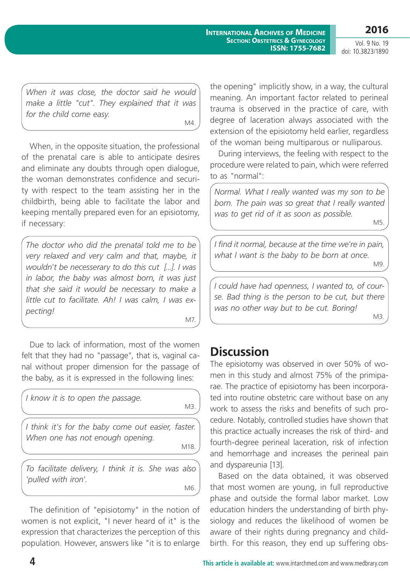Vol. 9 No. 19

**2016**

doi: 10.3823/1890

*When it was close, the doctor said he would make a little "cut". They explained that it was for the child come easy.*

M4.

When, in the opposite situation, the professional of the prenatal care is able to anticipate desires and eliminate any doubts through open dialogue, the woman demonstrates confidence and security with respect to the team assisting her in the childbirth, being able to facilitate the labor and keeping mentally prepared even for an episiotomy, if necessary:

*The doctor who did the prenatal told me to be very relaxed and very calm and that, maybe, it wouldn't be necesserary to do this cut [...]. I was in labor, the baby was almost born, it was just that she said it would be necessary to make a little cut to facilitate. Ah! I was calm, I was expecting!* 

M7.

Due to lack of information, most of the women felt that they had no "passage", that is, vaginal canal without proper dimension for the passage of the baby, as it is expressed in the following lines:

| I know it is to open the passage.                                                      | M3.  |
|----------------------------------------------------------------------------------------|------|
| I think it's for the baby come out easier, faster.<br>When one has not enough opening. | M18. |
| To facilitate delivery, I think it is. She was also<br>'pulled with iron'.             | M6   |

The definition of "episiotomy" in the notion of women is not explicit, "I never heard of it" is the expression that characterizes the perception of this population. However, answers like "it is to enlarge the opening" implicitly show, in a way, the cultural meaning. An important factor related to perineal trauma is observed in the practice of care, with degree of laceration always associated with the extension of the episiotomy held earlier, regardless of the woman being multiparous or nulliparous.

During interviews, the feeling with respect to the procedure were related to pain, which were referred to as "normal":

*Normal. What I really wanted was my son to be born. The pain was so great that I really wanted was to get rid of it as soon as possible.* 

M5.

*I find it normal, because at the time we're in pain, what I want is the baby to be born at once.*  M9.

*I could have had openness, I wanted to, of course. Bad thing is the person to be cut, but there was no other way but to be cut. Boring!*  M3.

# **Discussion**

The episiotomy was observed in over 50% of women in this study and almost 75% of the primiparae. The practice of episiotomy has been incorporated into routine obstetric care without base on any work to assess the risks and benefits of such procedure. Notably, controlled studies have shown that this practice actually increases the risk of third- and fourth-degree perineal laceration, risk of infection and hemorrhage and increases the perineal pain and dyspareunia [13].

Based on the data obtained, it was observed that most women are young, in full reproductive phase and outside the formal labor market. Low education hinders the understanding of birth physiology and reduces the likelihood of women be aware of their rights during pregnancy and childbirth. For this reason, they end up suffering obs-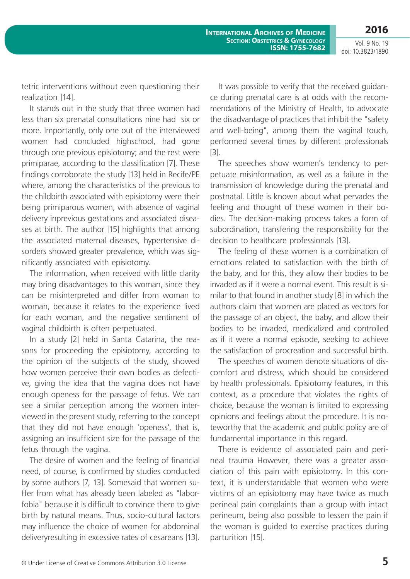Vol. 9 No. 19 doi: 10.3823/1890

tetric interventions without even questioning their realization [14].

It stands out in the study that three women had less than six prenatal consultations nine had six or more. Importantly, only one out of the interviewed women had concluded highschool, had gone through one previous episiotomy; and the rest were primiparae, according to the classification [7]. These findings corroborate the study [13] held in Recife/PE where, among the characteristics of the previous to the childbirth associated with episiotomy were their being primiparous women, with absence of vaginal delivery inprevious gestations and associated diseases at birth. The author [15] highlights that among the associated maternal diseases, hypertensive disorders showed greater prevalence, which was significantly associated with episiotomy.

The information, when received with little clarity may bring disadvantages to this woman, since they can be misinterpreted and differ from woman to woman, because it relates to the experience lived for each woman, and the negative sentiment of vaginal childbirth is often perpetuated.

In a study [2] held in Santa Catarina, the reasons for proceeding the episiotomy, according to the opinion of the subjects of the study, showed how women perceive their own bodies as defective, giving the idea that the vagina does not have enough openess for the passage of fetus. We can see a similar perception among the women interviewed in the present study, referring to the concept that they did not have enough 'openess', that is, assigning an insufficient size for the passage of the fetus through the vagina.

The desire of women and the feeling of financial need, of course, is confirmed by studies conducted by some authors [7, 13]. Somesaid that women suffer from what has already been labeled as "laborfobia" because it is difficult to convince them to give birth by natural means. Thus, socio-cultural factors may influence the choice of women for abdominal deliveryresulting in excessive rates of cesareans [13].

It was possible to verify that the received guidance during prenatal care is at odds with the recommendations of the Ministry of Health, to advocate the disadvantage of practices that inhibit the "safety and well-being", among them the vaginal touch, performed several times by different professionals [3].

The speeches show women's tendency to perpetuate misinformation, as well as a failure in the transmission of knowledge during the prenatal and postnatal. Little is known about what pervades the feeling and thought of these women in their bodies. The decision-making process takes a form of subordination, transfering the responsibility for the decision to healthcare professionals [13].

The feeling of these women is a combination of emotions related to satisfaction with the birth of the baby, and for this, they allow their bodies to be invaded as if it were a normal event. This result is similar to that found in another study [8] in which the authors claim that women are placed as vectors for the passage of an object, the baby, and allow their bodies to be invaded, medicalized and controlled as if it were a normal episode, seeking to achieve the satisfaction of procreation and successful birth.

The speeches of women denote situations of discomfort and distress, which should be considered by health professionals. Episiotomy features, in this context, as a procedure that violates the rights of choice, because the woman is limited to expressing opinions and feelings about the procedure. It is noteworthy that the academic and public policy are of fundamental importance in this regard.

There is evidence of associated pain and perineal trauma However, there was a greater association of this pain with episiotomy. In this context, it is understandable that women who were victims of an episiotomy may have twice as much perineal pain complaints than a group with intact perineum, being also possible to lessen the pain if the woman is guided to exercise practices during parturition [15].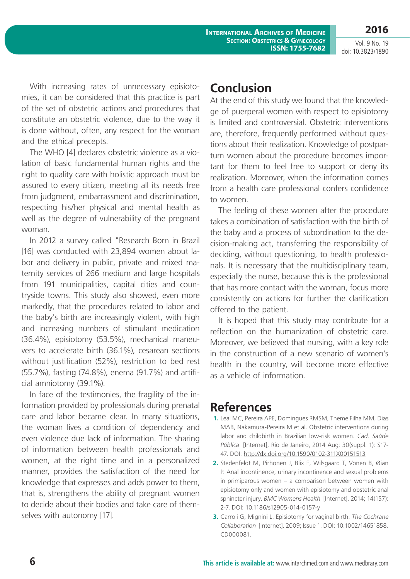**INTERNATIONAL ARCHIVES OF MEDICINE SECTION: OBSTETRICS & GYNECOLOGY ISSN: 1755-7682**

Vol. 9 No. 19 doi: 10.3823/1890

**2016**

With increasing rates of unnecessary episiotomies, it can be considered that this practice is part of the set of obstetric actions and procedures that constitute an obstetric violence, due to the way it is done without, often, any respect for the woman and the ethical precepts.

The WHO [4] declares obstetric violence as a violation of basic fundamental human rights and the right to quality care with holistic approach must be assured to every citizen, meeting all its needs free from judgment, embarrassment and discrimination, respecting his/her physical and mental health as well as the degree of vulnerability of the pregnant woman.

In 2012 a survey called "Research Born in Brazil [16] was conducted with 23,894 women about labor and delivery in public, private and mixed maternity services of 266 medium and large hospitals from 191 municipalities, capital cities and countryside towns. This study also showed, even more markedly, that the procedures related to labor and the baby's birth are increasingly violent, with high and increasing numbers of stimulant medication (36.4%), episiotomy (53.5%), mechanical maneuvers to accelerate birth (36.1%), cesarean sections without justification (52%), restriction to bed rest (55.7%), fasting (74.8%), enema (91.7%) and artificial amniotomy (39.1%).

In face of the testimonies, the fragility of the information provided by professionals during prenatal care and labor became clear. In many situations, the woman lives a condition of dependency and even violence due lack of information. The sharing of information between health professionals and women, at the right time and in a personalized manner, provides the satisfaction of the need for knowledge that expresses and adds power to them, that is, strengthens the ability of pregnant women to decide about their bodies and take care of themselves with autonomy [17].

#### **Conclusion**

At the end of this study we found that the knowledge of puerperal women with respect to episiotomy is limited and controversial. Obstetric interventions are, therefore, frequently performed without questions about their realization. Knowledge of postpartum women about the procedure becomes important for them to feel free to support or deny its realization. Moreover, when the information comes from a health care professional confers confidence to women.

The feeling of these women after the procedure takes a combination of satisfaction with the birth of the baby and a process of subordination to the decision-making act, transferring the responsibility of deciding, without questioning, to health professionals. It is necessary that the multidisciplinary team, especially the nurse, because this is the professional that has more contact with the woman, focus more consistently on actions for further the clarification offered to the patient.

It is hoped that this study may contribute for a reflection on the humanization of obstetric care. Moreover, we believed that nursing, with a key role in the construction of a new scenario of women's health in the country, will become more effective as a vehicle of information.

### **References**

- **1.** Leal MC, Pereira APE, Domingues RMSM, Theme Filha MM, Dias MAB, Nakamura-Pereira M et al. Obstetric interventions during labor and childbirth in Brazilian low-risk women. *Cad. Saúde Pública* [Internet], Rio de Janeiro, 2014 Aug; 30(suppl. 1): S17- 47. DOI: <http://dx.doi.org/10.1590/0102-311X00151513>
- **2.** Stedenfeldt M, Pirhonen J, Blix E, Wilsgaard T, Vonen B, Øian P. Anal incontinence, urinary incontinence and sexual problems in primiparous women – a comparison between women with episiotomy only and women with episiotomy and obstetric anal sphincter injury. *BMC Womens Health* [Internet], 2014; 14(157): 2-7. DOI: 10.1186/s12905-014-0157-y
- **3.** Carroli G, Mignini L. Episiotomy for vaginal birth. *The Cochrane Collaboration* [Internet]. 2009; Issue 1. DOI: 10.1002/14651858. CD000081.